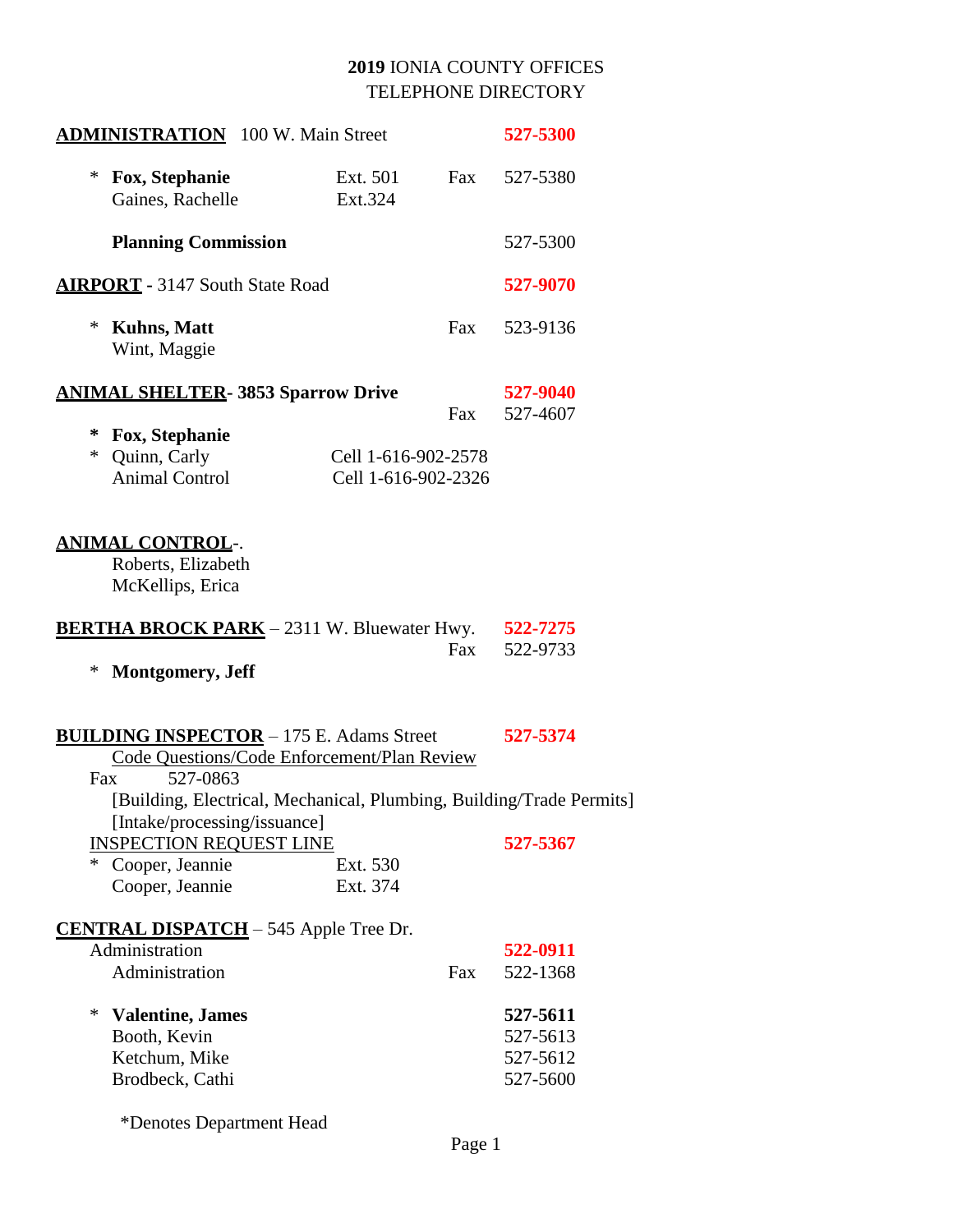|        | <b>ADMINISTRATION</b> 100 W. Main Street                                                                                                                                           |                                            |     | 527-5300                                     |  |
|--------|------------------------------------------------------------------------------------------------------------------------------------------------------------------------------------|--------------------------------------------|-----|----------------------------------------------|--|
| *      | Fox, Stephanie<br>Gaines, Rachelle                                                                                                                                                 | Ext. 501<br>Ext.324                        | Fax | 527-5380                                     |  |
|        | <b>Planning Commission</b>                                                                                                                                                         |                                            |     | 527-5300                                     |  |
|        | <b>AIRPORT</b> - 3147 South State Road                                                                                                                                             |                                            |     |                                              |  |
| *      | <b>Kuhns, Matt</b><br>Wint, Maggie                                                                                                                                                 |                                            | Fax | 523-9136                                     |  |
|        | <b>ANIMAL SHELTER- 3853 Sparrow Drive</b>                                                                                                                                          |                                            |     | 527-9040                                     |  |
| ∗      | Fox, Stephanie                                                                                                                                                                     |                                            | Fax | 527-4607                                     |  |
| $\ast$ | Quinn, Carly<br><b>Animal Control</b>                                                                                                                                              | Cell 1-616-902-2578<br>Cell 1-616-902-2326 |     |                                              |  |
|        | <u>ANIMAL CONTROL</u> -.<br>Roberts, Elizabeth<br>McKellips, Erica                                                                                                                 |                                            |     |                                              |  |
|        | <b>BERTHA BROCK PARK</b> - 2311 W. Bluewater Hwy. 522-7275                                                                                                                         |                                            |     |                                              |  |
| ∗      | <b>Montgomery</b> , Jeff                                                                                                                                                           |                                            | Fax | 522-9733                                     |  |
| Fax    | <b>BUILDING INSPECTOR</b> - 175 E. Adams Street<br>Code Questions/Code Enforcement/Plan Review<br>527-0863<br>[Building, Electrical, Mechanical, Plumbing, Building/Trade Permits] |                                            |     | 527-5374                                     |  |
|        | [Intake/processing/issuance]<br><b>INSPECTION REQUEST LINE</b>                                                                                                                     |                                            |     | 527-5367                                     |  |
| *      | Cooper, Jeannie<br>Cooper, Jeannie                                                                                                                                                 | Ext. 530<br>Ext. 374                       |     |                                              |  |
|        | <b>CENTRAL DISPATCH</b> – 545 Apple Tree Dr.                                                                                                                                       |                                            |     |                                              |  |
|        | Administration                                                                                                                                                                     |                                            |     | 522-0911                                     |  |
|        | Administration                                                                                                                                                                     |                                            | Fax | 522-1368                                     |  |
| *      | <b>Valentine</b> , James<br>Booth, Kevin<br>Ketchum, Mike<br>Brodbeck, Cathi                                                                                                       |                                            |     | 527-5611<br>527-5613<br>527-5612<br>527-5600 |  |
|        | *Denotes Department Head                                                                                                                                                           |                                            |     |                                              |  |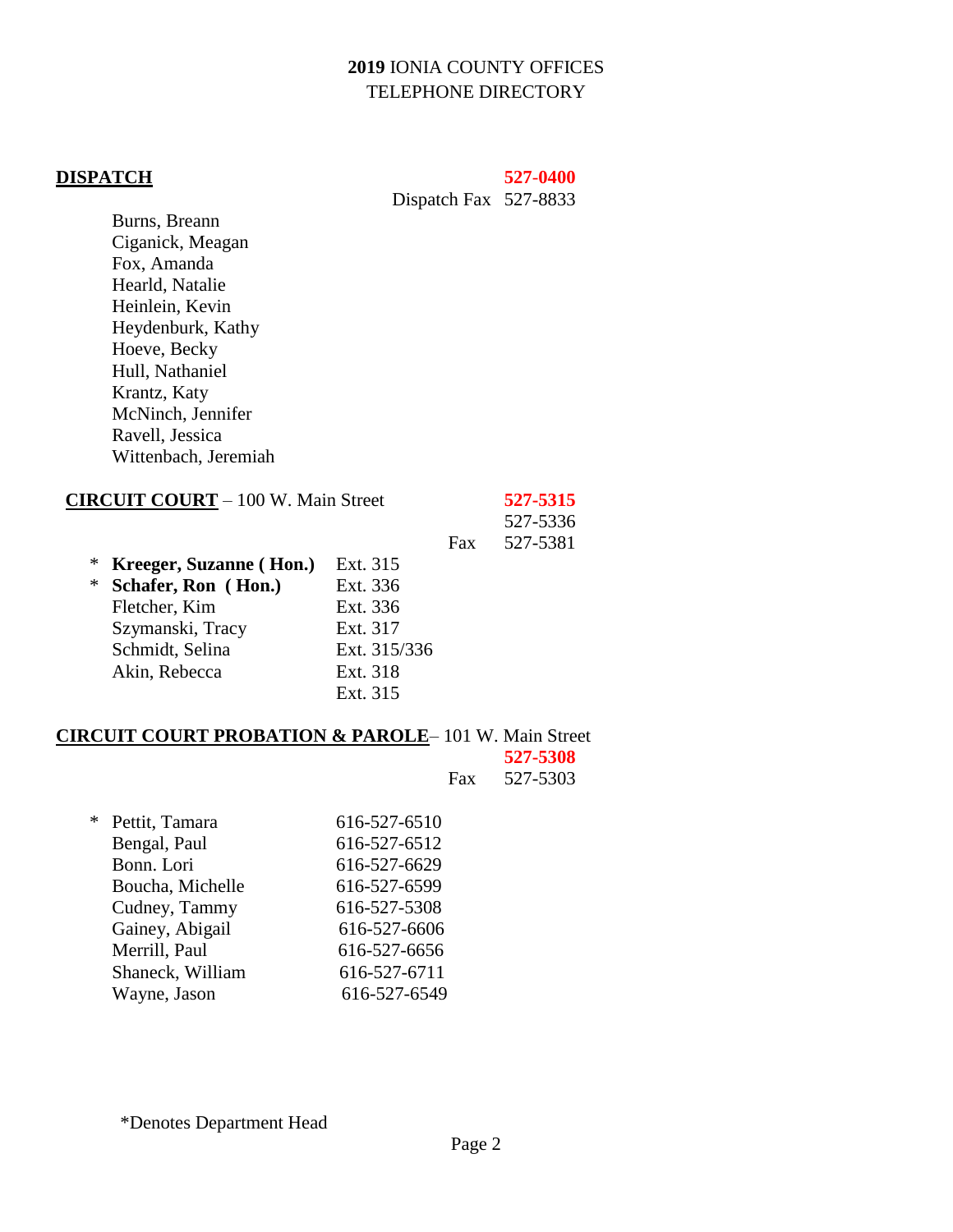#### **DISPATCH 527**-**0400**

Dispatch Fax 527-8833

Burns, Breann Ciganick, Meagan Fox, Amanda Hearld, Natalie Heinlein, Kevin Heydenburk, Kathy Hoeve, Becky Hull, Nathaniel Krantz, Katy McNinch, Jennifer Ravell, Jessica Wittenbach, Jeremiah

|   | <b>CIRCUIT COURT</b> - 100 W. Main Street |              |     |          |
|---|-------------------------------------------|--------------|-----|----------|
|   |                                           |              |     | 527-5336 |
|   |                                           |              | Fax | 527-5381 |
| ∗ | Kreeger, Suzanne (Hon.)                   | Ext. 315     |     |          |
| ∗ | Schafer, Ron (Hon.)                       | Ext. 336     |     |          |
|   | Fletcher, Kim                             | Ext. 336     |     |          |
|   | Szymanski, Tracy                          | Ext. 317     |     |          |
|   | Schmidt, Selina                           | Ext. 315/336 |     |          |
|   | Akin, Rebecca                             | Ext. 318     |     |          |
|   |                                           | Ext. 315     |     |          |
|   |                                           |              |     |          |

#### **CIRCUIT COURT PROBATION & PAROLE**– 101 W. Main Street

|                  |              | 527-5308 |
|------------------|--------------|----------|
|                  | <b>Fax</b>   | 527-5303 |
|                  |              |          |
| * Pettit, Tamara | 616-527-6510 |          |
| Bengal, Paul     | 616-527-6512 |          |
| Bonn. Lori       | 616-527-6629 |          |
| Boucha, Michelle | 616-527-6599 |          |
| Cudney, Tammy    | 616-527-5308 |          |
| Gainey, Abigail  | 616-527-6606 |          |
| Merrill, Paul    | 616-527-6656 |          |
| Shaneck, William | 616-527-6711 |          |
| Wayne, Jason     | 616-527-6549 |          |
|                  |              |          |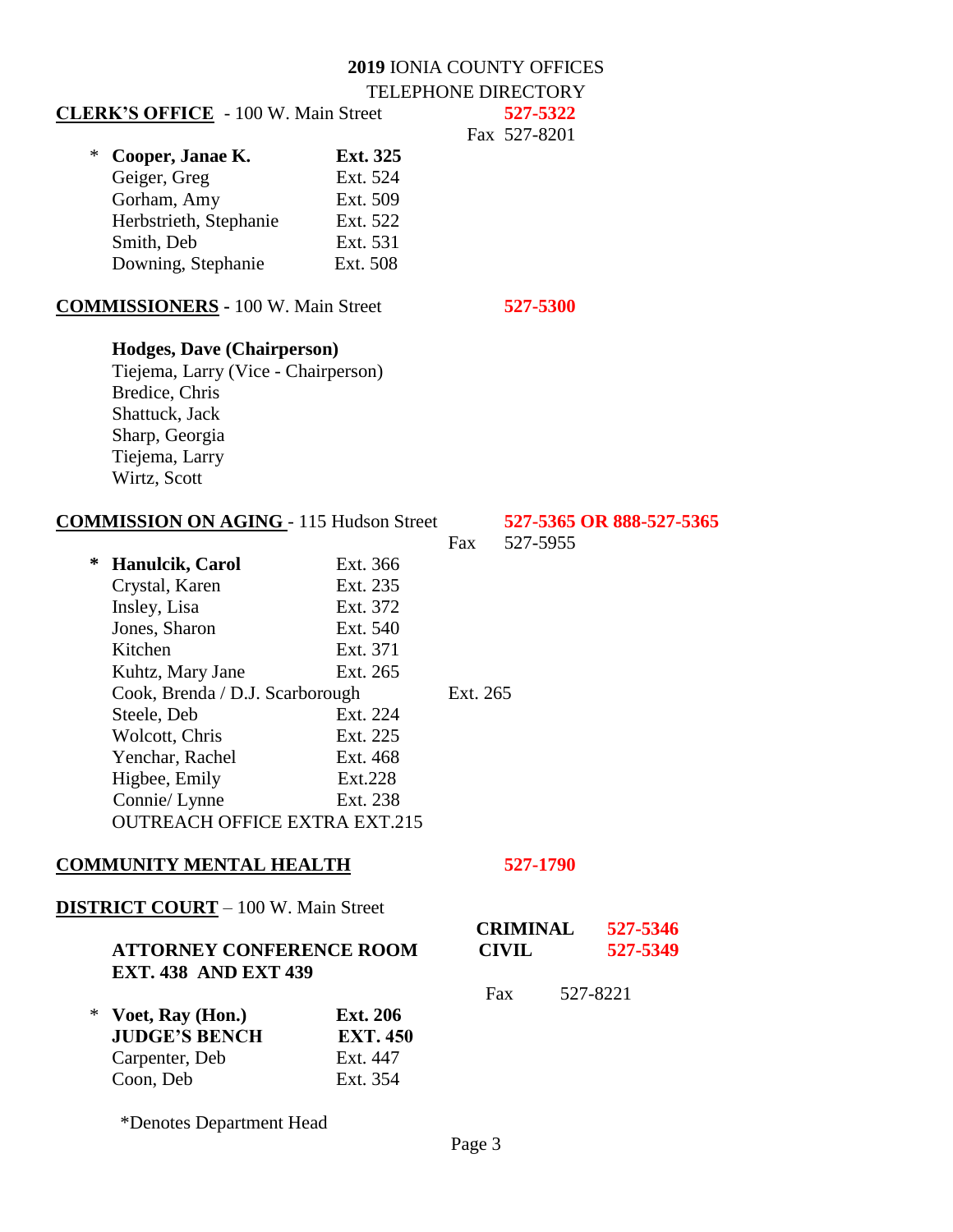| <b>CLERK'S OFFICE</b> - 100 W. Main Street     |                 |          | 527-5322        |                          |
|------------------------------------------------|-----------------|----------|-----------------|--------------------------|
|                                                |                 |          | Fax 527-8201    |                          |
| Cooper, Janae K.<br>∗                          | Ext. 325        |          |                 |                          |
| Geiger, Greg                                   | Ext. 524        |          |                 |                          |
| Gorham, Amy                                    | Ext. 509        |          |                 |                          |
| Herbstrieth, Stephanie                         | Ext. 522        |          |                 |                          |
| Smith, Deb                                     | Ext. 531        |          |                 |                          |
| Downing, Stephanie                             | Ext. 508        |          |                 |                          |
| <b>COMMISSIONERS</b> - 100 W. Main Street      |                 |          | 527-5300        |                          |
| <b>Hodges, Dave (Chairperson)</b>              |                 |          |                 |                          |
| Tiejema, Larry (Vice - Chairperson)            |                 |          |                 |                          |
| Bredice, Chris                                 |                 |          |                 |                          |
| Shattuck, Jack                                 |                 |          |                 |                          |
| Sharp, Georgia                                 |                 |          |                 |                          |
| Tiejema, Larry                                 |                 |          |                 |                          |
| Wirtz, Scott                                   |                 |          |                 |                          |
| <b>COMMISSION ON AGING - 115 Hudson Street</b> |                 |          |                 | 527-5365 OR 888-527-5365 |
|                                                |                 | Fax      | 527-5955        |                          |
| ∗<br><b>Hanulcik, Carol</b>                    | Ext. 366        |          |                 |                          |
| Crystal, Karen                                 | Ext. 235        |          |                 |                          |
| Insley, Lisa                                   | Ext. 372        |          |                 |                          |
| Jones, Sharon                                  | Ext. 540        |          |                 |                          |
| Kitchen                                        | Ext. 371        |          |                 |                          |
| Kuhtz, Mary Jane                               | Ext. 265        |          |                 |                          |
| Cook, Brenda / D.J. Scarborough                |                 | Ext. 265 |                 |                          |
| Steele, Deb                                    | Ext. 224        |          |                 |                          |
| Wolcott, Chris                                 | Ext. 225        |          |                 |                          |
| Yenchar, Rachel                                | Ext. 468        |          |                 |                          |
| Higbee, Emily                                  | Ext.228         |          |                 |                          |
| Connie/ Lynne                                  | Ext. 238        |          |                 |                          |
| <b>OUTREACH OFFICE EXTRA EXT.215</b>           |                 |          |                 |                          |
| <b>COMMUNITY MENTAL HEALTH</b>                 |                 |          | 527-1790        |                          |
| <b>DISTRICT COURT</b> - 100 W. Main Street     |                 |          |                 |                          |
|                                                |                 |          | <b>CRIMINAL</b> | 527-5346                 |
| <b>ATTORNEY CONFERENCE ROOM</b>                |                 |          | <b>CIVIL</b>    | 527-5349                 |
| <b>EXT. 438 AND EXT 439</b>                    |                 |          |                 |                          |
|                                                |                 |          | Fax             | 527-8221                 |
| Voet, Ray (Hon.)<br>∗                          | <b>Ext. 206</b> |          |                 |                          |
| <b>JUDGE'S BENCH</b>                           | <b>EXT. 450</b> |          |                 |                          |
| Carpenter, Deb                                 | Ext. 447        |          |                 |                          |
| Coon, Deb                                      | Ext. 354        |          |                 |                          |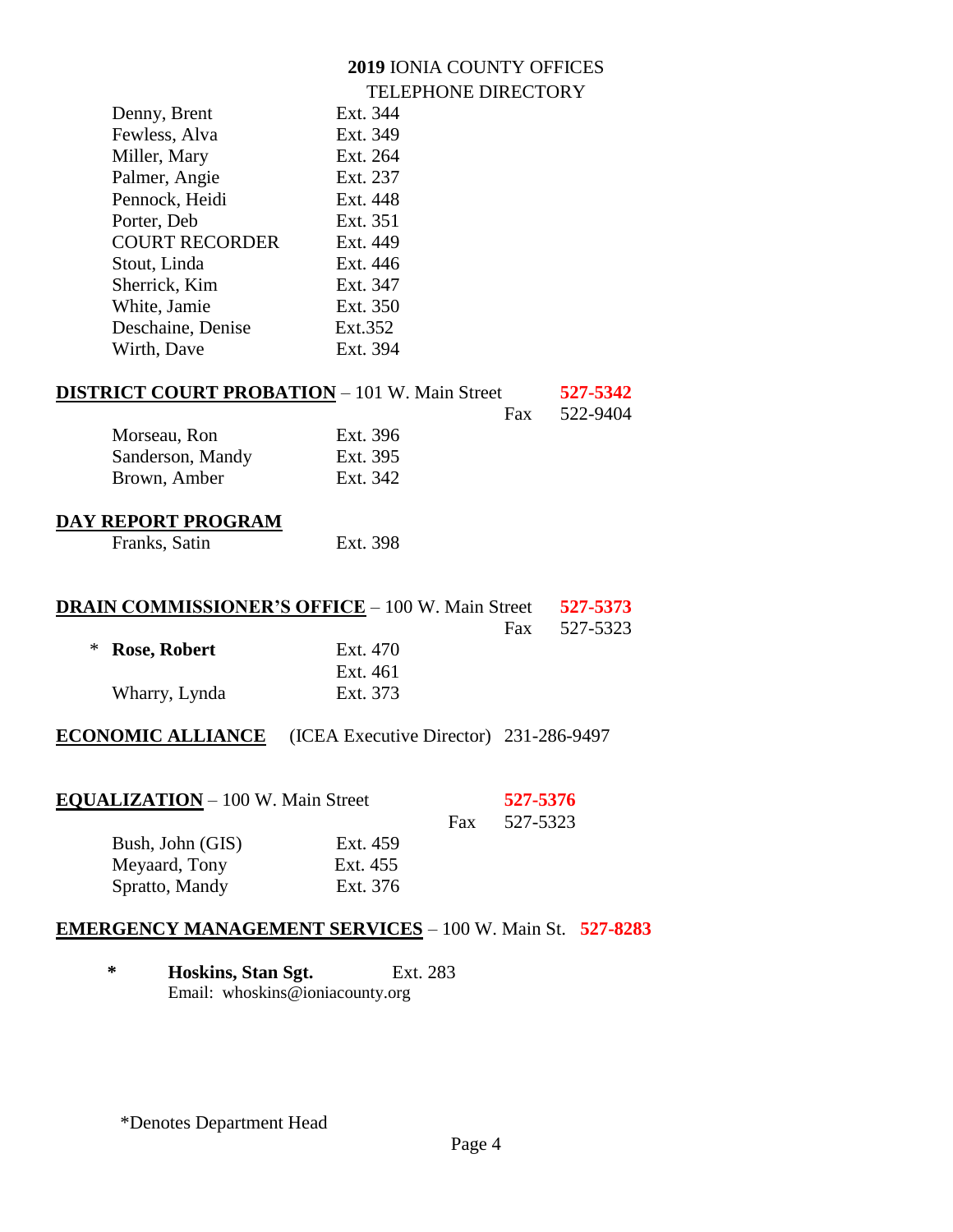| Denny, Brent          | Ext. 344 |
|-----------------------|----------|
| Fewless, Alva         | Ext. 349 |
| Miller, Mary          | Ext. 264 |
| Palmer, Angie         | Ext. 237 |
| Pennock, Heidi        | Ext. 448 |
| Porter, Deb           | Ext. 351 |
| <b>COURT RECORDER</b> | Ext. 449 |
| Stout, Linda          | Ext. 446 |
| Sherrick, Kim         | Ext. 347 |
| White, Jamie          | Ext. 350 |
| Deschaine, Denise     | Ext.352  |
| Wirth, Dave           | Ext. 394 |
|                       |          |

# **DISTRICT COURT PROBATION** – 101 W. Main Street **527-5342**

|                  |          | Fax. | 522-9404 |
|------------------|----------|------|----------|
| Morseau, Ron     | Ext. 396 |      |          |
| Sanderson, Mandy | Ext. 395 |      |          |
| Brown, Amber     | Ext. 342 |      |          |

# **DAY REPORT PROGRAM**

| Franks, Satin | Ext. 398 |
|---------------|----------|
|               |          |

| <b>DRAIN COMMISSIONER'S OFFICE - 100 W. Main Street</b> | 527-5373       |          |              |
|---------------------------------------------------------|----------------|----------|--------------|
|                                                         |                |          | Fax 527-5323 |
|                                                         | * Rose, Robert | Ext. 470 |              |
|                                                         |                | Ext. 461 |              |
|                                                         | Wharry, Lynda  | Ext. 373 |              |

# **ECONOMIC ALLIANCE** (ICEA Executive Director) 231-286-9497

| <b>EQUALIZATION</b> – 100 W. Main Street |          |     | 527-5376<br>527-5323 |
|------------------------------------------|----------|-----|----------------------|
| Bush, John (GIS)                         | Ext. 459 | Fax |                      |
| Meyaard, Tony                            | Ext. 455 |     |                      |
| Spratto, Mandy                           | Ext. 376 |     |                      |

# **EMERGENCY MANAGEMENT SERVICES** – 100 W. Main St. **527-8283**

**\* Hoskins, Stan Sgt.** Ext. 283 Email: whoskins@ioniacounty.org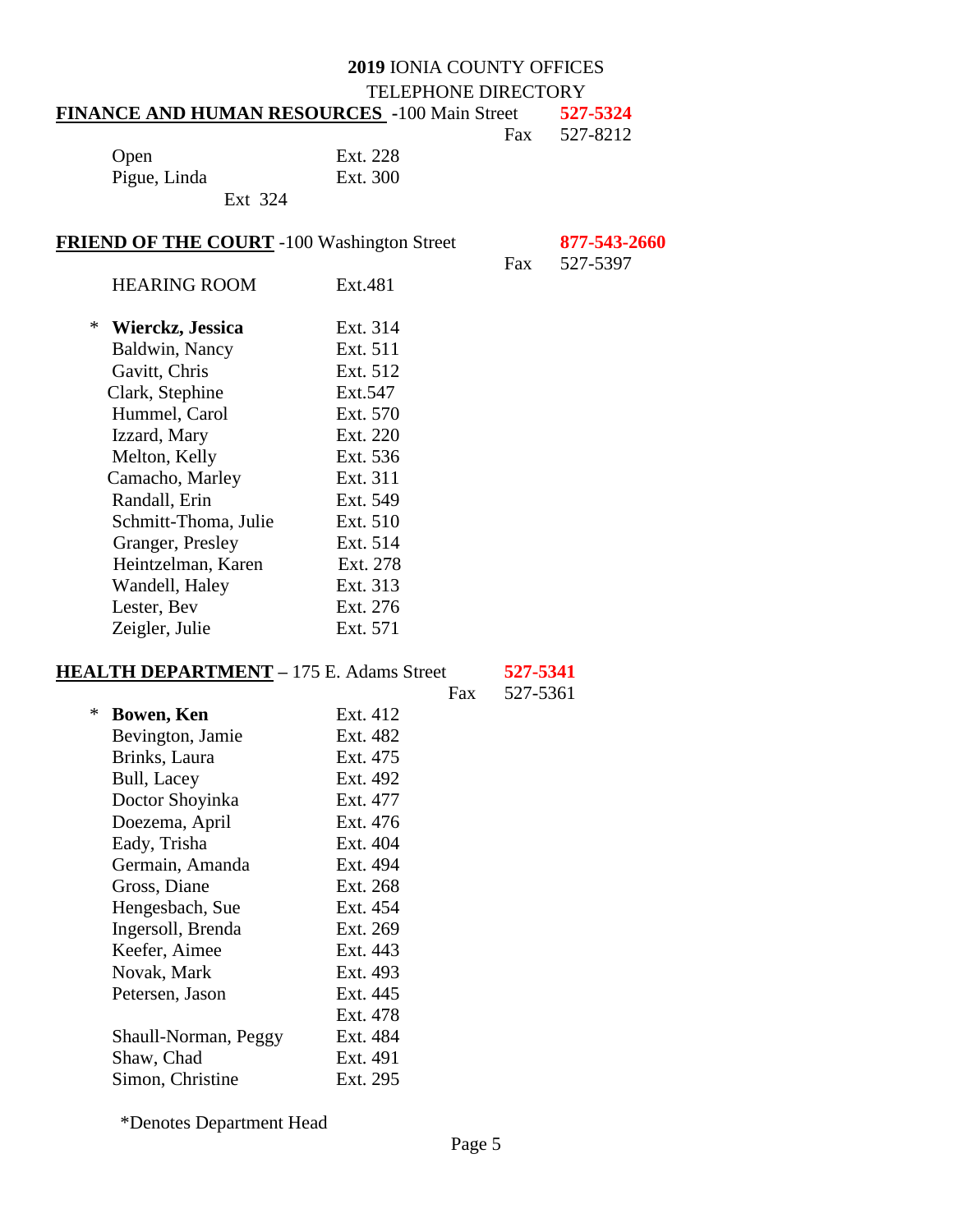#### **2019** IONIA COUNTY OFFICES TELEPHONE DIRECTORY **FINANCE AND HUMAN RESOURCES -**100 Main Street **527-5324** Fax 527-8212

| Open         |         | Ext. 228 |
|--------------|---------|----------|
| Pigue, Linda |         | Ext. 300 |
|              | Ext 324 |          |

#### **FRIEND OF THE COURT** -100 Washington Street **877-543-2660**

|     | 877-543-266 |
|-----|-------------|
| Fax | 527-5397    |

HEARING ROOM Ext.481 \* **Wierckz, Jessica** Ext. 314 Baldwin, Nancy Ext. 511 Gavitt, Chris Ext. 512 Clark, Stephine Ext.547 Hummel, Carol Ext. 570 Izzard, Mary Ext. 220 Melton, Kelly Ext. 536 Camacho, Marley Ext. 311 Randall, Erin Ext. 549 Schmitt-Thoma, Julie Ext. 510 Granger, Presley Ext. 514 Heintzelman, Karen Ext. 278 Wandell, Haley Ext. 313 Lester, Bev Ext. 276 Zeigler, Julie Ext. 571

## **HEALTH DEPARTMENT –** 175 E. Adams Street **527-5341**

Fax 527-5361

| $\ast$ | <b>Bowen, Ken</b>    | Ext. 412 |
|--------|----------------------|----------|
|        | Bevington, Jamie     | Ext. 482 |
|        | Brinks, Laura        | Ext. 475 |
|        | Bull, Lacey          | Ext. 492 |
|        | Doctor Shoyinka      | Ext. 477 |
|        | Doezema, April       | Ext. 476 |
|        | Eady, Trisha         | Ext. 404 |
|        | Germain, Amanda      | Ext. 494 |
|        | Gross, Diane         | Ext. 268 |
|        | Hengesbach, Sue      | Ext. 454 |
|        | Ingersoll, Brenda    | Ext. 269 |
|        | Keefer, Aimee        | Ext. 443 |
|        | Novak, Mark          | Ext. 493 |
|        | Petersen, Jason      | Ext. 445 |
|        |                      | Ext. 478 |
|        | Shaull-Norman, Peggy | Ext. 484 |
|        | Shaw, Chad           | Ext. 491 |
|        | Simon, Christine     | Ext. 295 |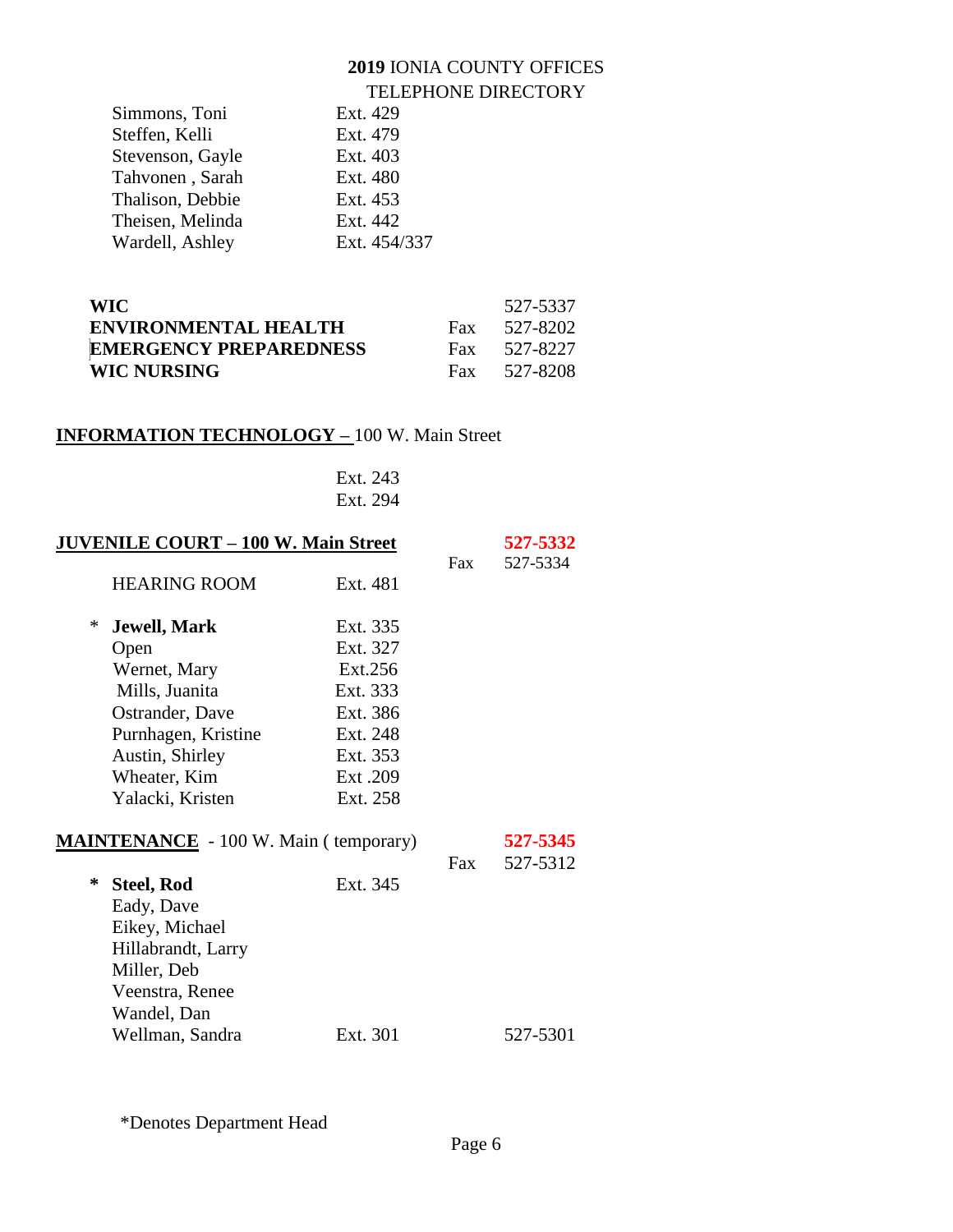|                  | TELEI HUNE DINEUT |
|------------------|-------------------|
| Simmons, Toni    | Ext. 429          |
| Steffen, Kelli   | Ext. 479          |
| Stevenson, Gayle | Ext. 403          |
| Tahvonen, Sarah  | Ext. 480          |
| Thalison, Debbie | Ext. 453          |
| Theisen, Melinda | Ext. 442          |
| Wardell, Ashley  | Ext. 454/337      |
|                  |                   |

| <b>WIC</b>                    |     | 527-5337 |
|-------------------------------|-----|----------|
| <b>ENVIRONMENTAL HEALTH</b>   | Fax | 527-8202 |
| <b>EMERGENCY PREPAREDNESS</b> | Fax | 527-8227 |
| <b>WIC NURSING</b>            | Fax | 527-8208 |

# **INFORMATION TECHNOLOGY –** 100 W. Main Street

| Ext. 243 |
|----------|
| Ext. 294 |

| <b>JUVENILE COURT - 100 W. Main Street</b> |                                              |          |     | 527-5332 |
|--------------------------------------------|----------------------------------------------|----------|-----|----------|
|                                            | <b>HEARING ROOM</b>                          | Ext. 481 | Fax | 527-5334 |
| ∗                                          | <b>Jewell, Mark</b>                          | Ext. 335 |     |          |
|                                            | Open                                         | Ext. 327 |     |          |
|                                            | Wernet, Mary                                 | Ext.256  |     |          |
|                                            | Mills, Juanita                               | Ext. 333 |     |          |
|                                            | Ostrander, Dave                              | Ext. 386 |     |          |
|                                            | Purnhagen, Kristine                          | Ext. 248 |     |          |
|                                            | Austin, Shirley                              | Ext. 353 |     |          |
|                                            | Wheater, Kim                                 | Ext. 209 |     |          |
|                                            | Yalacki, Kristen                             | Ext. 258 |     |          |
|                                            | <b>MAINTENANCE</b> - 100 W. Main (temporary) |          |     | 527-5345 |
|                                            |                                              |          | Fax | 527-5312 |
| ∗                                          | <b>Steel, Rod</b>                            | Ext. 345 |     |          |
|                                            | Eady, Dave                                   |          |     |          |
|                                            | Eikey, Michael                               |          |     |          |
|                                            | Hillabrandt, Larry                           |          |     |          |
|                                            | Miller, Deb                                  |          |     |          |
|                                            | Veenstra, Renee                              |          |     |          |
|                                            | Wandel, Dan                                  |          |     |          |
|                                            | Wellman, Sandra                              | Ext. 301 |     | 527-5301 |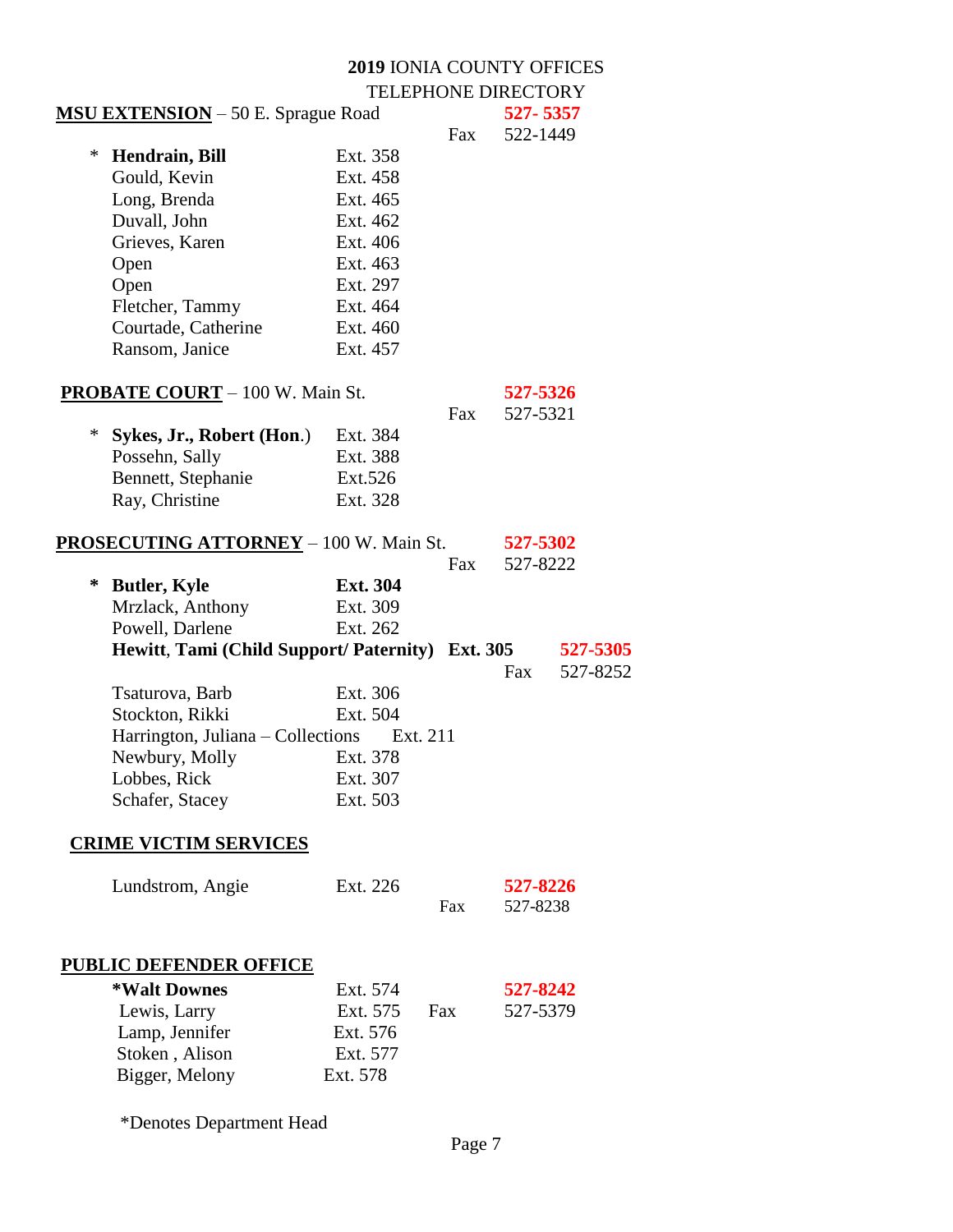|   | <b>MSU EXTENSION</b> – 50 E. Sprague Road                 |                 |          | 527-5357        |
|---|-----------------------------------------------------------|-----------------|----------|-----------------|
|   |                                                           |                 | Fax      | 522-1449        |
| ∗ | Hendrain, Bill                                            | Ext. 358        |          |                 |
|   | Gould, Kevin                                              | Ext. 458        |          |                 |
|   | Long, Brenda                                              | Ext. 465        |          |                 |
|   | Duvall, John                                              | Ext. 462        |          |                 |
|   | Grieves, Karen                                            | Ext. 406        |          |                 |
|   | Open                                                      | Ext. 463        |          |                 |
|   | Open                                                      | Ext. 297        |          |                 |
|   | Fletcher, Tammy                                           | Ext. 464        |          |                 |
|   | Courtade, Catherine                                       | Ext. 460        |          |                 |
|   | Ransom, Janice                                            | Ext. 457        |          |                 |
|   | <b>PROBATE COURT</b> – 100 W. Main St.                    |                 |          | 527-5326        |
|   |                                                           |                 | Fax      | 527-5321        |
| ∗ | Sykes, Jr., Robert (Hon.)                                 | Ext. 384        |          |                 |
|   | Possehn, Sally                                            | Ext. 388        |          |                 |
|   | Bennett, Stephanie                                        | Ext.526         |          |                 |
|   | Ray, Christine                                            | Ext. 328        |          |                 |
|   |                                                           |                 |          |                 |
|   | <b>PROSECUTING ATTORNEY</b> - 100 W. Main St.             |                 |          | 527-5302        |
|   |                                                           |                 | Fax      | 527-8222        |
| ∗ | <b>Butler, Kyle</b>                                       | <b>Ext. 304</b> |          |                 |
|   | Mrzlack, Anthony                                          | Ext. 309        |          |                 |
|   | Powell, Darlene                                           | Ext. 262        |          |                 |
|   | Hewitt, Tami (Child Support/ Paternity) Ext. 305 527-5305 |                 |          |                 |
|   |                                                           |                 |          | 527-8252<br>Fax |
|   | Tsaturova, Barb                                           | Ext. 306        |          |                 |
|   | Stockton, Rikki                                           | Ext. 504        |          |                 |
|   | Harrington, Juliana – Collections                         |                 | Ext. 211 |                 |
|   | Newbury, Molly                                            | Ext. 378        |          |                 |
|   | Lobbes, Rick                                              | Ext. 307        |          |                 |
|   | Schafer, Stacey                                           | Ext. 503        |          |                 |
|   | <b>CRIME VICTIM SERVICES</b>                              |                 |          |                 |
|   | Lundstrom, Angie                                          | Ext. 226        |          | 527-8226        |
|   |                                                           |                 | Fax      | 527-8238        |
|   |                                                           |                 |          |                 |
|   | <b>PUBLIC DEFENDER OFFICE</b>                             |                 |          |                 |
|   | *Walt Downes                                              | Ext. 574        |          | 527-8242        |
|   | Lewis, Larry                                              | Ext. 575        | Fax      | 527-5379        |
|   | Lamp, Jennifer                                            | Ext. 576        |          |                 |
|   | Stoken, Alison                                            | Ext. 577        |          |                 |
|   |                                                           |                 |          |                 |
|   | Bigger, Melony                                            | Ext. 578        |          |                 |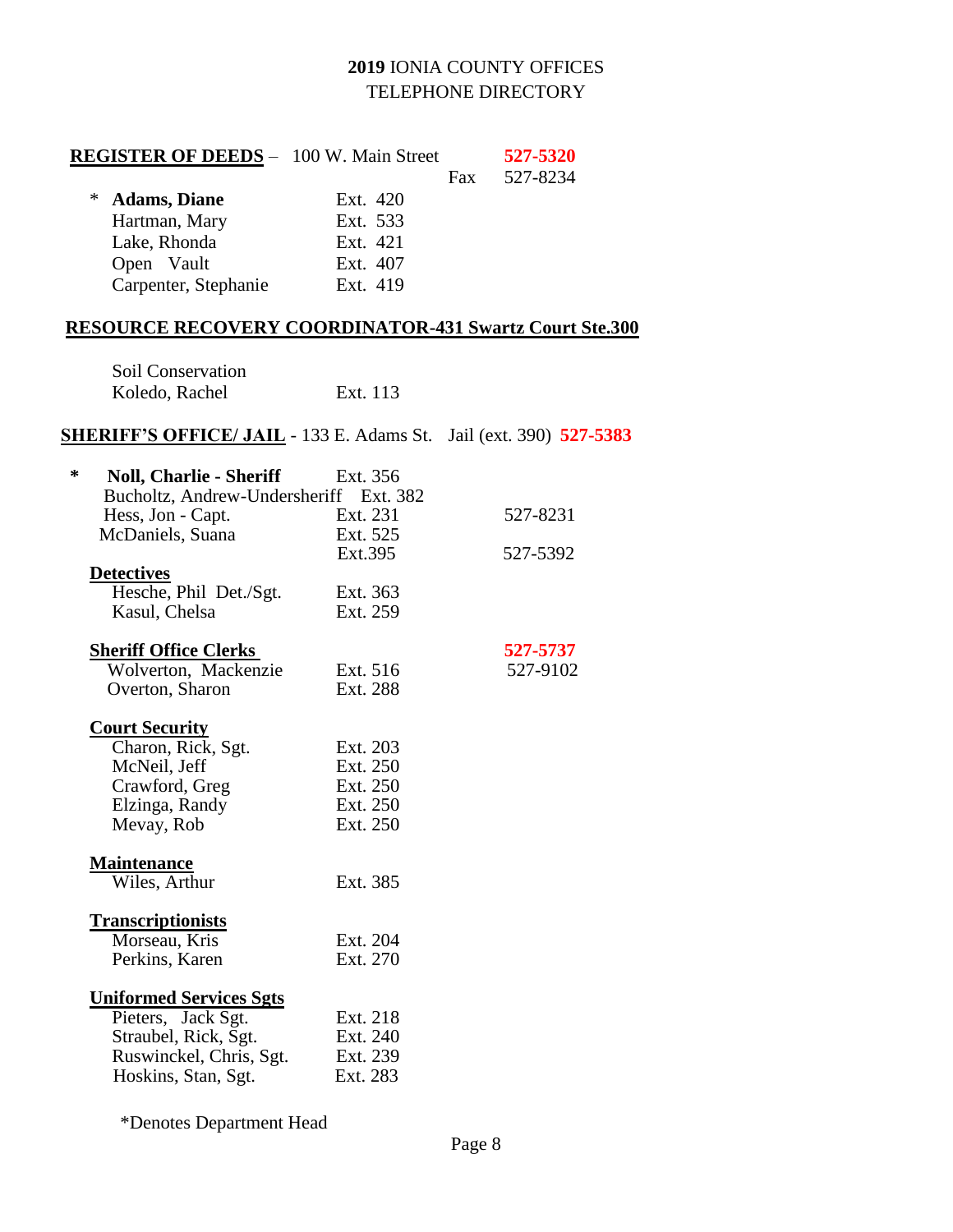| <b>REGISTER OF DEEDS</b> - 100 W. Main Street |          |     | 527-5320 |
|-----------------------------------------------|----------|-----|----------|
|                                               |          | Fax | 527-8234 |
| <b>Adams, Diane</b><br>$\ast$                 | Ext. 420 |     |          |
| Hartman, Mary                                 | Ext. 533 |     |          |
| Lake, Rhonda                                  | Ext. 421 |     |          |
| Open Vault                                    | Ext. 407 |     |          |
| Carpenter, Stephanie                          | Ext. 419 |     |          |
|                                               |          |     |          |

# **RESOURCE RECOVERY COORDINATOR-431 Swartz Court Ste.300**

| Soil Conservation |          |
|-------------------|----------|
| Koledo, Rachel    | Ext. 113 |

### **SHERIFF'S OFFICE/ JAIL** - 133 E. Adams St. Jail (ext. 390) **527-5383**

| ∗<br><b>Noll, Charlie - Sheriff</b>    | Ext. 356 |          |
|----------------------------------------|----------|----------|
| Bucholtz, Andrew-Undersheriff Ext. 382 |          |          |
| Hess, Jon - Capt.                      | Ext. 231 | 527-8231 |
| McDaniels, Suana                       | Ext. 525 |          |
|                                        | Ext.395  | 527-5392 |
| <b>Detectives</b>                      |          |          |
| Hesche, Phil Det./Sgt.                 | Ext. 363 |          |
| Kasul, Chelsa                          | Ext. 259 |          |
| <b>Sheriff Office Clerks</b>           |          | 527-5737 |
| Wolverton, Mackenzie                   | Ext. 516 | 527-9102 |
| Overton, Sharon                        | Ext. 288 |          |
| <b>Court Security</b>                  |          |          |
| Charon, Rick, Sgt.                     | Ext. 203 |          |
| McNeil, Jeff                           | Ext. 250 |          |
| Crawford, Greg                         | Ext. 250 |          |
| Elzinga, Randy                         | Ext. 250 |          |
| Mevay, Rob                             | Ext. 250 |          |
| <b>Maintenance</b>                     |          |          |
| Wiles, Arthur                          | Ext. 385 |          |
| <b>Transcriptionists</b>               |          |          |
| Morseau, Kris                          | Ext. 204 |          |
| Perkins, Karen                         | Ext. 270 |          |
| <u><b>Uniformed Services Sgts</b></u>  |          |          |
| Pieters, Jack Sgt.                     | Ext. 218 |          |
| Straubel, Rick, Sgt.                   | Ext. 240 |          |
| Ruswinckel, Chris, Sgt.                | Ext. 239 |          |
| Hoskins, Stan, Sgt.                    | Ext. 283 |          |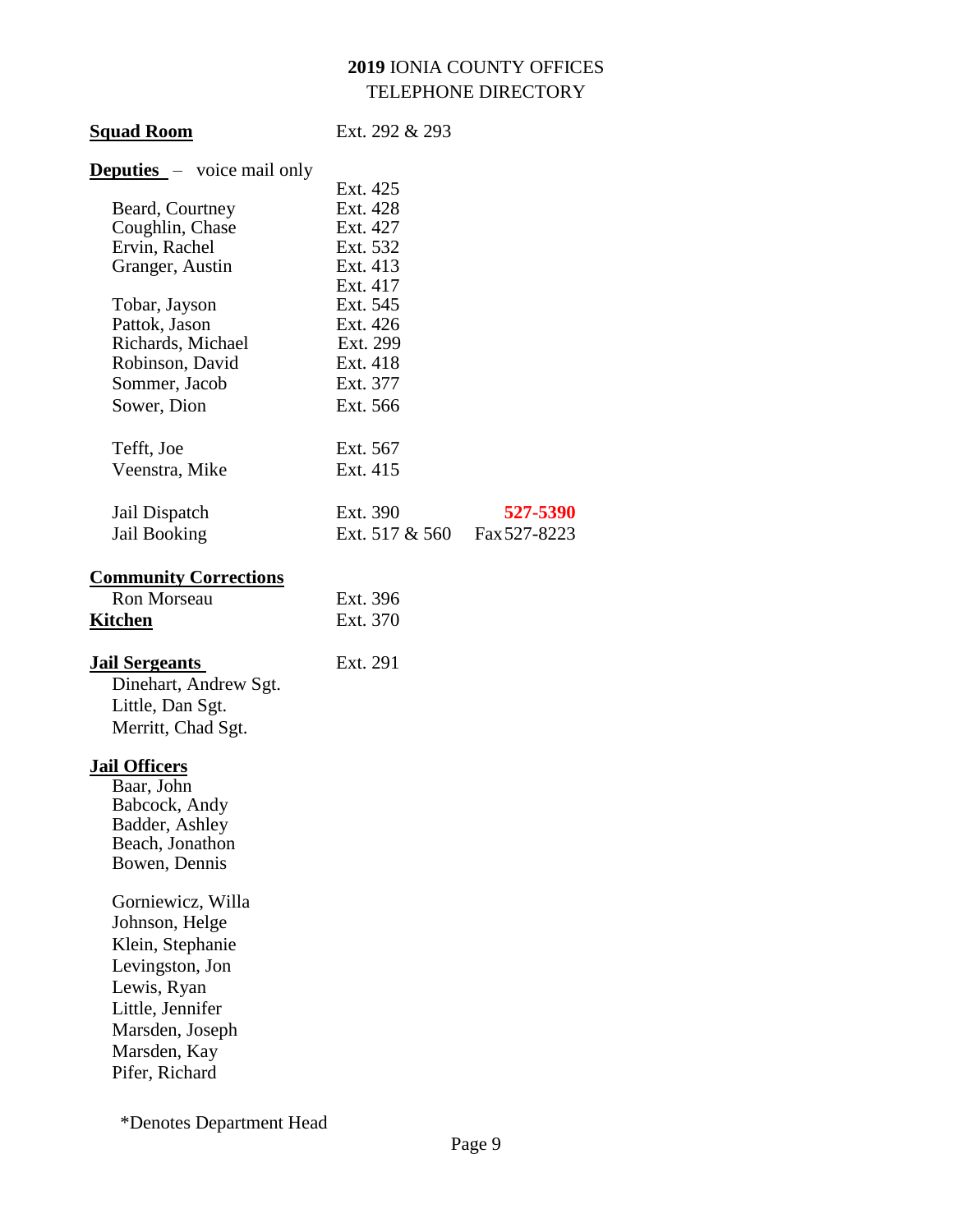| <b>Squad Room</b>                 | Ext. 292 & 293 |              |
|-----------------------------------|----------------|--------------|
| <b>Deputies</b> – voice mail only |                |              |
|                                   | Ext. 425       |              |
| Beard, Courtney                   | Ext. 428       |              |
| Coughlin, Chase                   | Ext. 427       |              |
| Ervin, Rachel                     | Ext. 532       |              |
| Granger, Austin                   | Ext. 413       |              |
|                                   | Ext. 417       |              |
| Tobar, Jayson                     | Ext. 545       |              |
| Pattok, Jason                     | Ext. 426       |              |
| Richards, Michael                 | Ext. 299       |              |
| Robinson, David                   | Ext. 418       |              |
| Sommer, Jacob                     | Ext. 377       |              |
| Sower, Dion                       | Ext. 566       |              |
| Tefft, Joe                        | Ext. 567       |              |
| Veenstra, Mike                    | Ext. 415       |              |
|                                   |                |              |
| Jail Dispatch                     | Ext. 390       | 527-5390     |
| Jail Booking                      | Ext. 517 & 560 | Fax 527-8223 |
| <b>Community Corrections</b>      |                |              |
| Ron Morseau                       | Ext. 396       |              |
| <b>Kitchen</b>                    | Ext. 370       |              |
|                                   |                |              |
| <b>Jail Sergeants</b>             | Ext. 291       |              |
| Dinehart, Andrew Sgt.             |                |              |
| Little, Dan Sgt.                  |                |              |
| Merritt, Chad Sgt.                |                |              |
| <b>Jail Officers</b>              |                |              |
| Baar, John                        |                |              |
| Babcock, Andy                     |                |              |
| Badder, Ashley                    |                |              |
| Beach, Jonathon                   |                |              |
| Bowen, Dennis                     |                |              |
| Gorniewicz, Willa                 |                |              |
| Johnson, Helge                    |                |              |
| Klein, Stephanie                  |                |              |
| Levingston, Jon                   |                |              |
| Lewis, Ryan                       |                |              |
| Little, Jennifer                  |                |              |
|                                   |                |              |
| Marsden, Joseph                   |                |              |
| Marsden, Kay                      |                |              |
| Pifer, Richard                    |                |              |
|                                   |                |              |